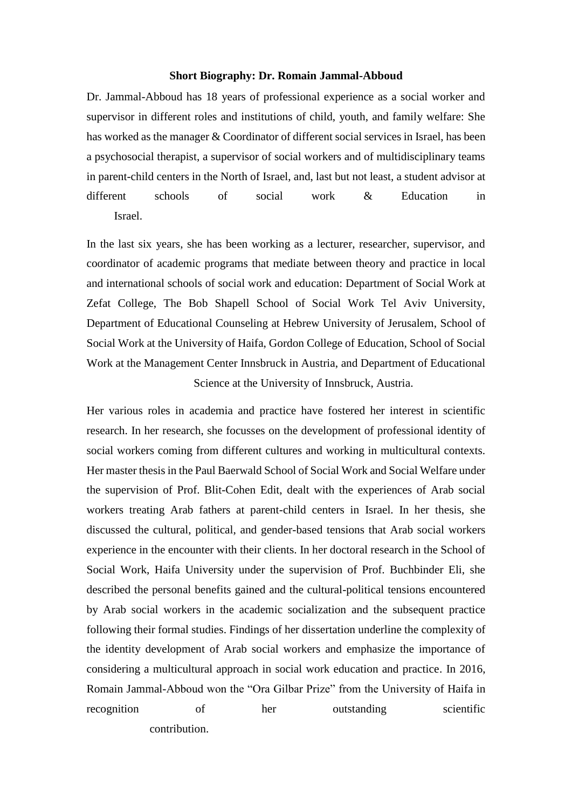## **Short Biography: Dr. Romain Jammal-Abboud**

Dr. Jammal-Abboud has 18 years of professional experience as a social worker and supervisor in different roles and institutions of child, youth, and family welfare: She has worked as the manager & Coordinator of different social services in Israel, has been a psychosocial therapist, a supervisor of social workers and of multidisciplinary teams in parent-child centers in the North of Israel, and, last but not least, a student advisor at different schools of social work & Education in Israel.

In the last six years, she has been working as a lecturer, researcher, supervisor, and coordinator of academic programs that mediate between theory and practice in local and international schools of social work and education: Department of Social Work at Zefat College, The Bob Shapell School of Social Work Tel Aviv University, Department of Educational Counseling at Hebrew University of Jerusalem, School of Social Work at the University of Haifa, Gordon College of Education, School of Social Work at the Management Center Innsbruck in Austria, and Department of Educational Science at the University of Innsbruck, Austria.

Her various roles in academia and practice have fostered her interest in scientific research. In her research, she focusses on the development of professional identity of social workers coming from different cultures and working in multicultural contexts. Her master thesis in the Paul Baerwald School of Social Work and Social Welfare under the supervision of Prof. Blit-Cohen Edit, dealt with the experiences of Arab social workers treating Arab fathers at parent-child centers in Israel. In her thesis, she discussed the cultural, political, and gender-based tensions that Arab social workers experience in the encounter with their clients. In her doctoral research in the School of Social Work, Haifa University under the supervision of Prof. Buchbinder Eli, she described the personal benefits gained and the cultural-political tensions encountered by Arab social workers in the academic socialization and the subsequent practice following their formal studies. Findings of her dissertation underline the complexity of the identity development of Arab social workers and emphasize the importance of considering a multicultural approach in social work education and practice. In 2016, Romain Jammal-Abboud won the "Ora Gilbar Prize" from the University of Haifa in recognition of her outstanding scientific contribution.